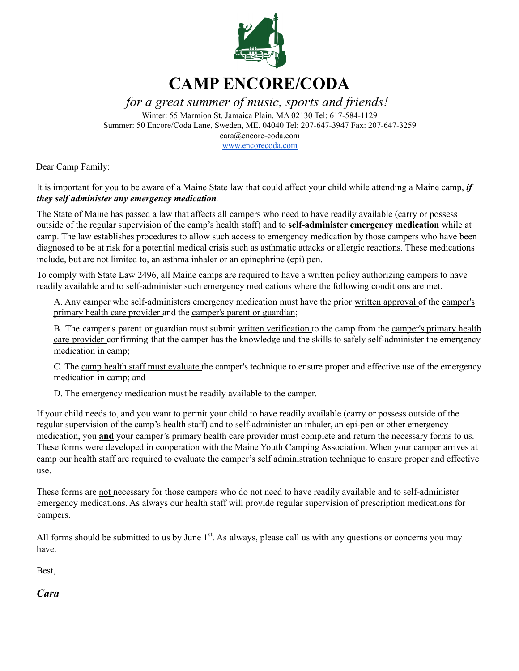

*for a great summer of music, sports and friends!*

Winter: 55 Marmion St. Jamaica Plain, MA 02130 Tel: 617-584-1129 Summer: 50 Encore/Coda Lane, Sweden, ME, 04040 Tel: 207-647-3947 Fax: 207-647-3259 cara@encore-coda.com [www.encorecoda.com](http://www.encorecoda.com)

Dear Camp Family:

It is important for you to be aware of a Maine State law that could affect your child while attending a Maine camp, *if they self administer any emergency medication.*

The State of Maine has passed a law that affects all campers who need to have readily available (carry or possess outside of the regular supervision of the camp's health staff) and to **self-administer emergency medication** while at camp. The law establishes procedures to allow such access to emergency medication by those campers who have been diagnosed to be at risk for a potential medical crisis such as asthmatic attacks or allergic reactions. These medications include, but are not limited to, an asthma inhaler or an epinephrine (epi) pen.

To comply with State Law 2496, all Maine camps are required to have a written policy authorizing campers to have readily available and to self-administer such emergency medications where the following conditions are met.

A. Any camper who self-administers emergency medication must have the prior written approval of the camper's primary health care provider and the camper's parent or guardian;

B. The camper's parent or guardian must submit written verification to the camp from the camper's primary health care provider confirming that the camper has the knowledge and the skills to safely self-administer the emergency medication in camp;

C. The camp health staff must evaluate the camper's technique to ensure proper and effective use of the emergency medication in camp; and

D. The emergency medication must be readily available to the camper.

If your child needs to, and you want to permit your child to have readily available (carry or possess outside of the regular supervision of the camp's health staff) and to self-administer an inhaler, an epi-pen or other emergency medication, you **and** your camper's primary health care provider must complete and return the necessary forms to us. These forms were developed in cooperation with the Maine Youth Camping Association. When your camper arrives at camp our health staff are required to evaluate the camper's self administration technique to ensure proper and effective use.

These forms are not necessary for those campers who do not need to have readily available and to self-administer emergency medications. As always our health staff will provide regular supervision of prescription medications for campers.

All forms should be submitted to us by June  $1<sup>st</sup>$ . As always, please call us with any questions or concerns you may have.

Best,

*Cara*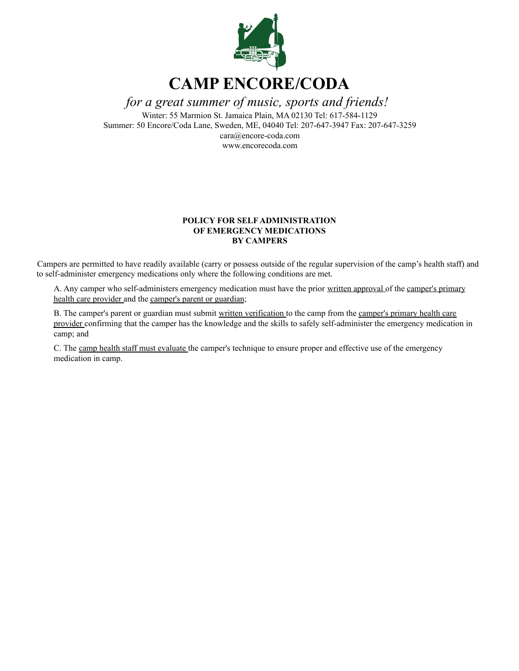

*for a great summer of music, sports and friends!*

Winter: 55 Marmion St. Jamaica Plain, MA 02130 Tel: 617-584-1129 Summer: 50 Encore/Coda Lane, Sweden, ME, 04040 Tel: 207-647-3947 Fax: 207-647-3259 cara@encore-coda.com www.encorecoda.com

#### **POLICY FOR SELF ADMINISTRATION OF EMERGENCY MEDICATIONS BY CAMPERS**

Campers are permitted to have readily available (carry or possess outside of the regular supervision of the camp's health staff) and to self-administer emergency medications only where the following conditions are met.

A. Any camper who self-administers emergency medication must have the prior written approval of the camper's primary health care provider and the camper's parent or guardian;

B. The camper's parent or guardian must submit written verification to the camp from the camper's primary health care provider confirming that the camper has the knowledge and the skills to safely self-administer the emergency medication in camp; and

C. The camp health staff must evaluate the camper's technique to ensure proper and effective use of the emergency medication in camp.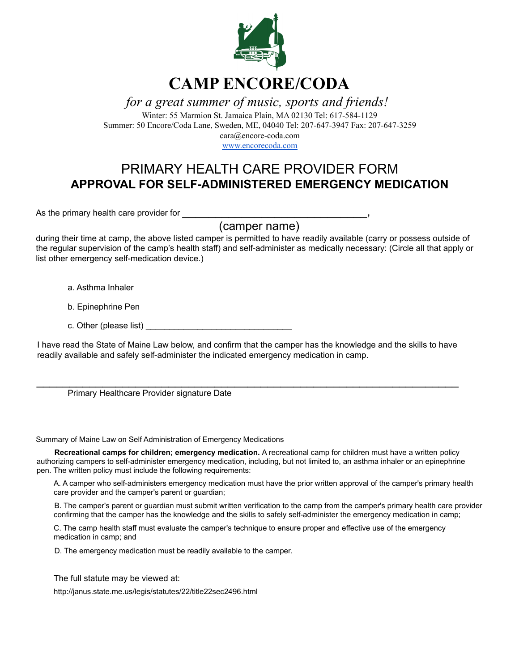

*for a great summer of music, sports and friends!*

Winter: 55 Marmion St. Jamaica Plain, MA 02130 Tel: 617-584-1129 Summer: 50 Encore/Coda Lane, Sweden, ME, 04040 Tel: 207-647-3947 Fax: 207-647-3259 cara@encore-coda.com

[www.encorecoda.com](http://www.encorecoda.com)

### PRIMARY HEALTH CARE PROVIDER FORM **APPROVAL FOR SELF-ADMINISTERED EMERGENCY MEDICATION**

As the primary health care provider for

(camper name)

during their time at camp, the above listed camper is permitted to have readily available (carry or possess outside of the regular supervision of the camp's health staff) and self-administer as medically necessary: (Circle all that apply or list other emergency self-medication device.)

a. Asthma Inhaler

b. Epinephrine Pen

c. Other (please list)

I have read the State of Maine Law below, and confirm that the camper has the knowledge and the skills to have readily available and safely self-administer the indicated emergency medication in camp.

 $\mathcal{L}_\text{max}$  , and the contract of the contract of the contract of the contract of the contract of the contract of the contract of the contract of the contract of the contract of the contract of the contract of the contr

Primary Healthcare Provider signature Date

Summary of Maine Law on Self Administration of Emergency Medications

**Recreational camps for children; emergency medication.** A recreational camp for children must have a written policy authorizing campers to self-administer emergency medication, including, but not limited to, an asthma inhaler or an epinephrine pen. The written policy must include the following requirements:

A. A camper who self-administers emergency medication must have the prior written approval of the camper's primary health care provider and the camper's parent or guardian;

B. The camper's parent or guardian must submit written verification to the camp from the camper's primary health care provider confirming that the camper has the knowledge and the skills to safely self-administer the emergency medication in camp;

C. The camp health staff must evaluate the camper's technique to ensure proper and effective use of the emergency medication in camp; and

D. The emergency medication must be readily available to the camper.

The full statute may be viewed at:

http://janus.state.me.us/legis/statutes/22/title22sec2496.html